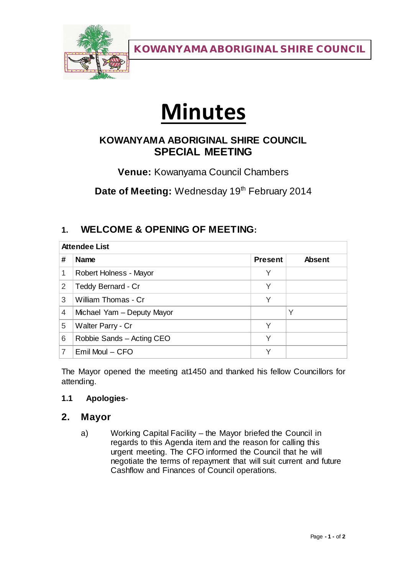

KOWANYAMA ABORIGINAL SHIRE COUNCIL

# **Minutes**

## **KOWANYAMA ABORIGINAL SHIRE COUNCIL SPECIAL MEETING**

**Venue:** Kowanyama Council Chambers

Date of Meeting: Wednesday 19<sup>th</sup> February 2014

## **1. WELCOME & OPENING OF MEETING:**

| <b>Attendee List</b> |                            |                |               |
|----------------------|----------------------------|----------------|---------------|
| #                    | <b>Name</b>                | <b>Present</b> | <b>Absent</b> |
|                      | Robert Holness - Mayor     | Υ              |               |
| 2                    | Teddy Bernard - Cr         | Υ              |               |
| 3                    | William Thomas - Cr        | Υ              |               |
| 4                    | Michael Yam - Deputy Mayor |                | Υ             |
| 5                    | Walter Parry - Cr          | Υ              |               |
| 6                    | Robbie Sands - Acting CEO  | Υ              |               |
|                      | $Emil$ Moul $-$ CFO        | ∨              |               |

The Mayor opened the meeting at1450 and thanked his fellow Councillors for attending.

#### **1.1 Apologies**-

### **2. Mayor**

a) Working Capital Facility – the Mayor briefed the Council in regards to this Agenda item and the reason for calling this urgent meeting. The CFO informed the Council that he will negotiate the terms of repayment that will suit current and future Cashflow and Finances of Council operations.